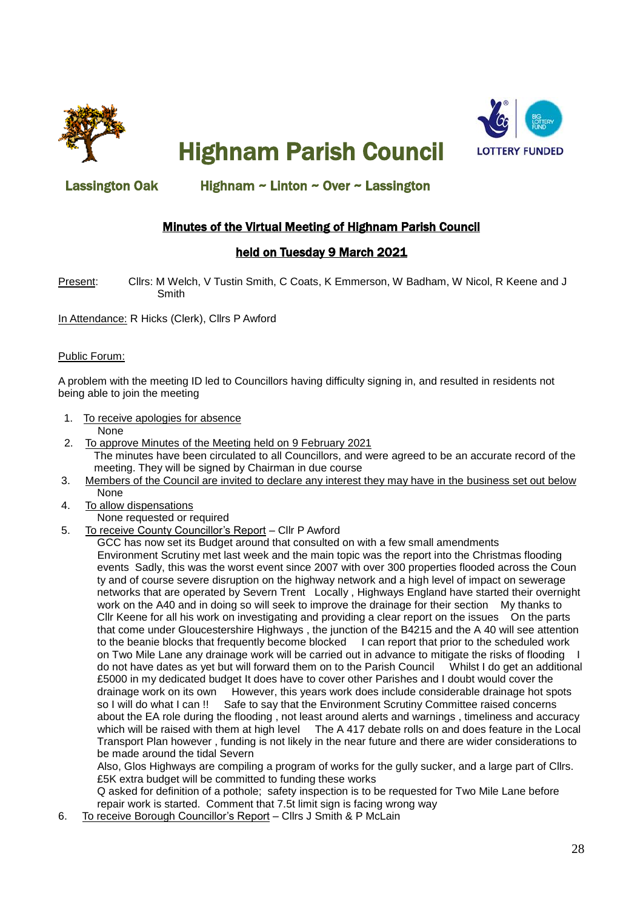

Highnam Parish Council



### Lassington Oak Highnam ~ Linton ~ Over ~ Lassington

## Minutes of the Virtual Meeting of Highnam Parish Council

### held on Tuesday 9 March 2021

Present: Cllrs: M Welch, V Tustin Smith, C Coats, K Emmerson, W Badham, W Nicol, R Keene and J Smith

In Attendance: R Hicks (Clerk), Cllrs P Awford

#### Public Forum:

A problem with the meeting ID led to Councillors having difficulty signing in, and resulted in residents not being able to join the meeting

- 1. To receive apologies for absence
- None
- 2. To approve Minutes of the Meeting held on 9 February 2021 The minutes have been circulated to all Councillors, and were agreed to be an accurate record of the meeting. They will be signed by Chairman in due course
- 3. Members of the Council are invited to declare any interest they may have in the business set out below None
- 4. To allow dispensations
	- None requested or required
- 5. To receive County Councillor's Report Cllr P Awford

 GCC has now set its Budget around that consulted on with a few small amendments Environment Scrutiny met last week and the main topic was the report into the Christmas flooding events Sadly, this was the worst event since 2007 with over 300 properties flooded across the Coun ty and of course severe disruption on the highway network and a high level of impact on sewerage networks that are operated by Severn Trent Locally , Highways England have started their overnight work on the A40 and in doing so will seek to improve the drainage for their section My thanks to Cllr Keene for all his work on investigating and providing a clear report on the issues On the parts that come under Gloucestershire Highways , the junction of the B4215 and the A 40 will see attention to the beanie blocks that frequently become blocked I can report that prior to the scheduled work on Two Mile Lane any drainage work will be carried out in advance to mitigate the risks of flooding I do not have dates as yet but will forward them on to the Parish Council Whilst I do get an additional £5000 in my dedicated budget It does have to cover other Parishes and I doubt would cover the drainage work on its own However, this years work does include considerable drainage hot spots so I will do what I can !! Safe to say that the Environment Scrutiny Committee raised concerns about the EA role during the flooding , not least around alerts and warnings , timeliness and accuracy which will be raised with them at high level The A 417 debate rolls on and does feature in the Local Transport Plan however , funding is not likely in the near future and there are wider considerations to be made around the tidal Severn

 Also, Glos Highways are compiling a program of works for the gully sucker, and a large part of Cllrs. £5K extra budget will be committed to funding these works

 Q asked for definition of a pothole; safety inspection is to be requested for Two Mile Lane before repair work is started. Comment that 7.5t limit sign is facing wrong way

6. To receive Borough Councillor's Report – Cllrs J Smith & P McLain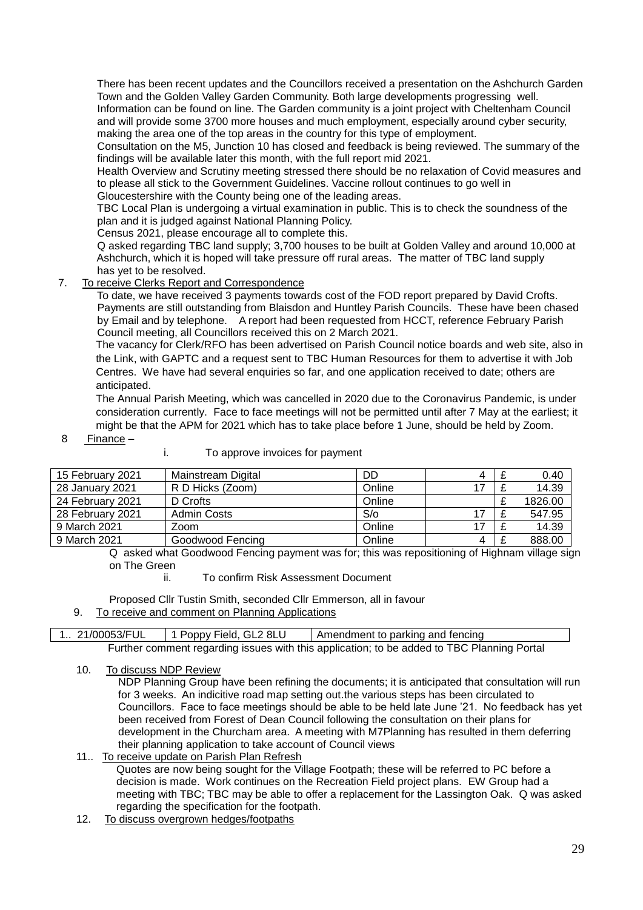There has been recent updates and the Councillors received a presentation on the Ashchurch Garden Town and the Golden Valley Garden Community. Both large developments progressing well. Information can be found on line. The Garden community is a joint project with Cheltenham Council

 and will provide some 3700 more houses and much employment, especially around cyber security, making the area one of the top areas in the country for this type of employment.

 Consultation on the M5, Junction 10 has closed and feedback is being reviewed. The summary of the findings will be available later this month, with the full report mid 2021.

 Health Overview and Scrutiny meeting stressed there should be no relaxation of Covid measures and to please all stick to the Government Guidelines. Vaccine rollout continues to go well in Gloucestershire with the County being one of the leading areas.

 TBC Local Plan is undergoing a virtual examination in public. This is to check the soundness of the plan and it is judged against National Planning Policy.

Census 2021, please encourage all to complete this.

 Q asked regarding TBC land supply; 3,700 houses to be built at Golden Valley and around 10,000 at Ashchurch, which it is hoped will take pressure off rural areas. The matter of TBC land supply has yet to be resolved.

7. To receive Clerks Report and Correspondence

 To date, we have received 3 payments towards cost of the FOD report prepared by David Crofts. Payments are still outstanding from Blaisdon and Huntley Parish Councils. These have been chased by Email and by telephone. A report had been requested from HCCT, reference February Parish Council meeting, all Councillors received this on 2 March 2021.

 The vacancy for Clerk/RFO has been advertised on Parish Council notice boards and web site, also in the Link, with GAPTC and a request sent to TBC Human Resources for them to advertise it with Job Centres. We have had several enquiries so far, and one application received to date; others are anticipated.

 The Annual Parish Meeting, which was cancelled in 2020 due to the Coronavirus Pandemic, is under consideration currently. Face to face meetings will not be permitted until after 7 May at the earliest; it might be that the APM for 2021 which has to take place before 1 June, should be held by Zoom.

- 8 Finance –
- i. To approve invoices for payment

| 15 February 2021 | Mainstream Digital | DD     | 4 | 0.40    |
|------------------|--------------------|--------|---|---------|
| 28 January 2021  | R D Hicks (Zoom)   | Online |   | 14.39   |
| 24 February 2021 | D Crofts           | Online |   | 1826.00 |
| 28 February 2021 | <b>Admin Costs</b> | S/O    |   | 547.95  |
| 9 March 2021     | Zoom               | Online |   | 14.39   |
| 9 March 2021     | Goodwood Fencing   | Online | 4 | 888.00  |

 Q asked what Goodwood Fencing payment was for; this was repositioning of Highnam village sign on The Green

ii. To confirm Risk Assessment Document

Proposed Cllr Tustin Smith, seconded Cllr Emmerson, all in favour

9. To receive and comment on Planning Applications

| 1 21/00053/FUL                                                                             | 1 Poppy Field, GL2 8LU | Amendment to parking and fencing |  |  |  |  |
|--------------------------------------------------------------------------------------------|------------------------|----------------------------------|--|--|--|--|
| Further comment regarding issues with this application; to be added to TBC Planning Portal |                        |                                  |  |  |  |  |

10. To discuss NDP Review

 NDP Planning Group have been refining the documents; it is anticipated that consultation will run for 3 weeks. An indicitive road map setting out.the various steps has been circulated to Councillors. Face to face meetings should be able to be held late June '21. No feedback has yet been received from Forest of Dean Council following the consultation on their plans for development in the Churcham area. A meeting with M7Planning has resulted in them deferring their planning application to take account of Council views

11.. To receive update on Parish Plan Refresh

 Quotes are now being sought for the Village Footpath; these will be referred to PC before a decision is made. Work continues on the Recreation Field project plans. EW Group had a meeting with TBC; TBC may be able to offer a replacement for the Lassington Oak. Q was asked regarding the specification for the footpath.

12. To discuss overgrown hedges/footpaths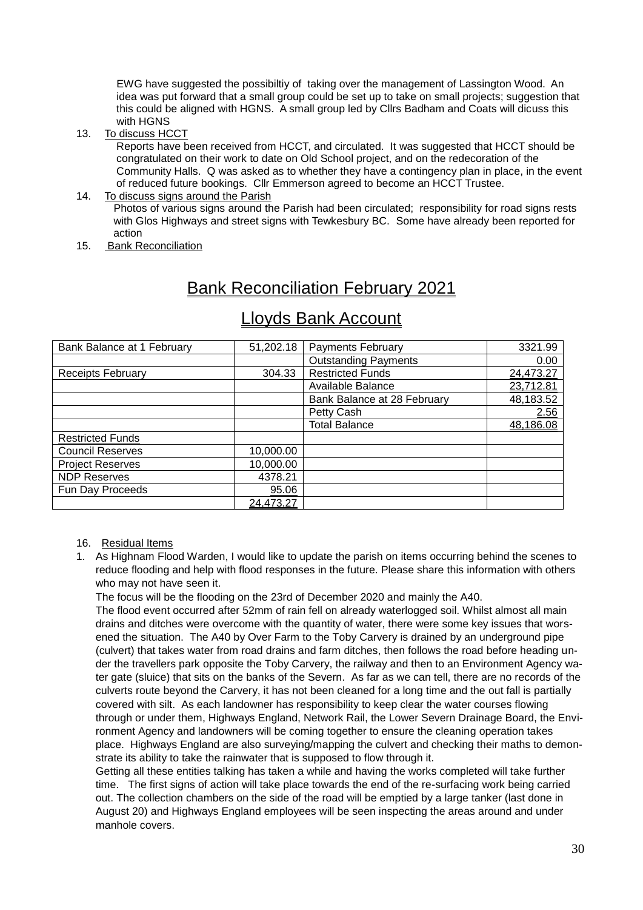EWG have suggested the possibiltiy of taking over the management of Lassington Wood. An idea was put forward that a small group could be set up to take on small projects; suggestion that this could be aligned with HGNS. A small group led by Cllrs Badham and Coats will dicuss this with HGNS

13. To discuss HCCT

 Reports have been received from HCCT, and circulated. It was suggested that HCCT should be congratulated on their work to date on Old School project, and on the redecoration of the Community Halls. Q was asked as to whether they have a contingency plan in place, in the event of reduced future bookings. Cllr Emmerson agreed to become an HCCT Trustee.

#### 14. To discuss signs around the Parish

 Photos of various signs around the Parish had been circulated; responsibility for road signs rests with Glos Highways and street signs with Tewkesbury BC. Some have already been reported for action

15. Bank Reconciliation

# Bank Reconciliation February 2021

| Bank Balance at 1 February | 51,202.18 | <b>Payments February</b>    | 3321.99   |
|----------------------------|-----------|-----------------------------|-----------|
|                            |           | <b>Outstanding Payments</b> | 0.00      |
| <b>Receipts February</b>   | 304.33    | <b>Restricted Funds</b>     | 24,473.27 |
|                            |           | Available Balance           | 23,712.81 |
|                            |           | Bank Balance at 28 February | 48,183.52 |
|                            |           | Petty Cash                  | 2.56      |
|                            |           | <b>Total Balance</b>        | 48,186.08 |
| <b>Restricted Funds</b>    |           |                             |           |
| <b>Council Reserves</b>    | 10,000.00 |                             |           |
| <b>Project Reserves</b>    | 10,000.00 |                             |           |
| <b>NDP Reserves</b>        | 4378.21   |                             |           |
| Fun Day Proceeds           | 95.06     |                             |           |
|                            | 24,473.27 |                             |           |

## Lloyds Bank Account

#### 16. Residual Items

1. As Highnam Flood Warden, I would like to update the parish on items occurring behind the scenes to reduce flooding and help with flood responses in the future. Please share this information with others who may not have seen it.

The focus will be the flooding on the 23rd of December 2020 and mainly the A40.

The flood event occurred after 52mm of rain fell on already waterlogged soil. Whilst almost all main drains and ditches were overcome with the quantity of water, there were some key issues that worsened the situation. The A40 by Over Farm to the Toby Carvery is drained by an underground pipe (culvert) that takes water from road drains and farm ditches, then follows the road before heading under the travellers park opposite the Toby Carvery, the railway and then to an Environment Agency water gate (sluice) that sits on the banks of the Severn. As far as we can tell, there are no records of the culverts route beyond the Carvery, it has not been cleaned for a long time and the out fall is partially covered with silt. As each landowner has responsibility to keep clear the water courses flowing through or under them, Highways England, Network Rail, the Lower Severn Drainage Board, the Environment Agency and landowners will be coming together to ensure the cleaning operation takes place. Highways England are also surveying/mapping the culvert and checking their maths to demonstrate its ability to take the rainwater that is supposed to flow through it.

Getting all these entities talking has taken a while and having the works completed will take further time. The first signs of action will take place towards the end of the re-surfacing work being carried out. The collection chambers on the side of the road will be emptied by a large tanker (last done in August 20) and Highways England employees will be seen inspecting the areas around and under manhole covers.